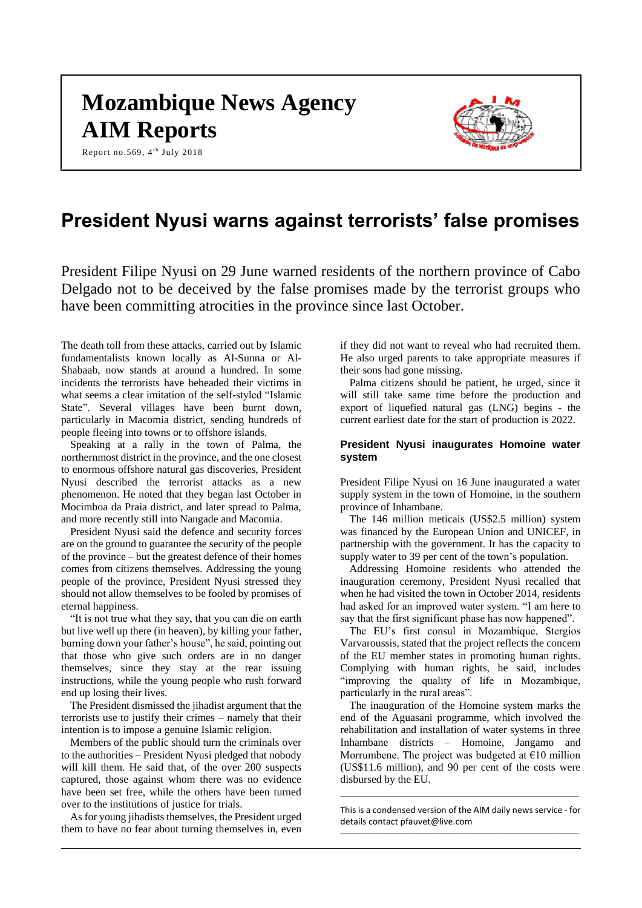# **Mozambique News Agency AIM Reports**

Report no.569, 4<sup>th</sup> July 2018



# **President Nyusi warns against terrorists' false promises**

President Filipe Nyusi on 29 June warned residents of the northern province of Cabo Delgado not to be deceived by the false promises made by the terrorist groups who have been committing atrocities in the province since last October.

The death toll from these attacks, carried out by Islamic fundamentalists known locally as Al-Sunna or Al-Shabaab, now stands at around a hundred. In some incidents the terrorists have beheaded their victims in what seems a clear imitation of the self-styled "Islamic State". Several villages have been burnt down, particularly in Macomia district, sending hundreds of people fleeing into towns or to offshore islands.

Speaking at a rally in the town of Palma, the northernmost district in the province, and the one closest to enormous offshore natural gas discoveries, President Nyusi described the terrorist attacks as a new phenomenon. He noted that they began last October in Mocimboa da Praia district, and later spread to Palma, and more recently still into Nangade and Macomia.

President Nyusi said the defence and security forces are on the ground to guarantee the security of the people of the province – but the greatest defence of their homes comes from citizens themselves. Addressing the young people of the province, President Nyusi stressed they should not allow themselves to be fooled by promises of eternal happiness.

"It is not true what they say, that you can die on earth but live well up there (in heaven), by killing your father, burning down your father's house", he said, pointing out that those who give such orders are in no danger themselves, since they stay at the rear issuing instructions, while the young people who rush forward end up losing their lives.

The President dismissed the jihadist argument that the terrorists use to justify their crimes – namely that their intention is to impose a genuine Islamic religion.

Members of the public should turn the criminals over to the authorities – President Nyusi pledged that nobody will kill them. He said that, of the over 200 suspects captured, those against whom there was no evidence have been set free, while the others have been turned over to the institutions of justice for trials.

As for young jihadists themselves, the President urged them to have no fear about turning themselves in, even

if they did not want to reveal who had recruited them. He also urged parents to take appropriate measures if their sons had gone missing.

Palma citizens should be patient, he urged, since it will still take same time before the production and export of liquefied natural gas (LNG) begins - the current earliest date for the start of production is 2022.

#### **President Nyusi inaugurates Homoine water system**

President Filipe Nyusi on 16 June inaugurated a water supply system in the town of Homoine, in the southern province of Inhambane.

The 146 million meticais (US\$2.5 million) system was financed by the European Union and UNICEF, in partnership with the government. It has the capacity to supply water to 39 per cent of the town's population.

Addressing Homoine residents who attended the inauguration ceremony, President Nyusi recalled that when he had visited the town in October 2014, residents had asked for an improved water system. "I am here to say that the first significant phase has now happened".

The EU's first consul in Mozambique, Stergios Varvaroussis, stated that the project reflects the concern of the EU member states in promoting human rights. Complying with human rights, he said, includes "improving the quality of life in Mozambique, particularly in the rural areas".

The inauguration of the Homoine system marks the end of the Aguasani programme, which involved the rehabilitation and installation of water systems in three Inhambane districts – Homoine, Jangamo and Morrumbene. The project was budgeted at  $\epsilon$ 10 million (US\$11.6 million), and 90 per cent of the costs were disbursed by the EU.

This is a condensed version of the AIM daily news service - for details contac[t pfauvet@live.com](mailto:pfauvet@live.com)

\_\_\_\_\_\_\_\_\_\_\_\_\_\_\_\_\_\_\_\_\_\_\_\_\_\_\_\_\_\_\_\_\_\_\_\_\_\_\_\_\_\_\_\_\_\_\_\_\_\_\_\_\_\_\_\_\_\_\_\_\_\_\_\_\_\_\_\_\_\_\_\_\_\_\_\_\_\_\_\_\_\_\_\_\_\_\_\_\_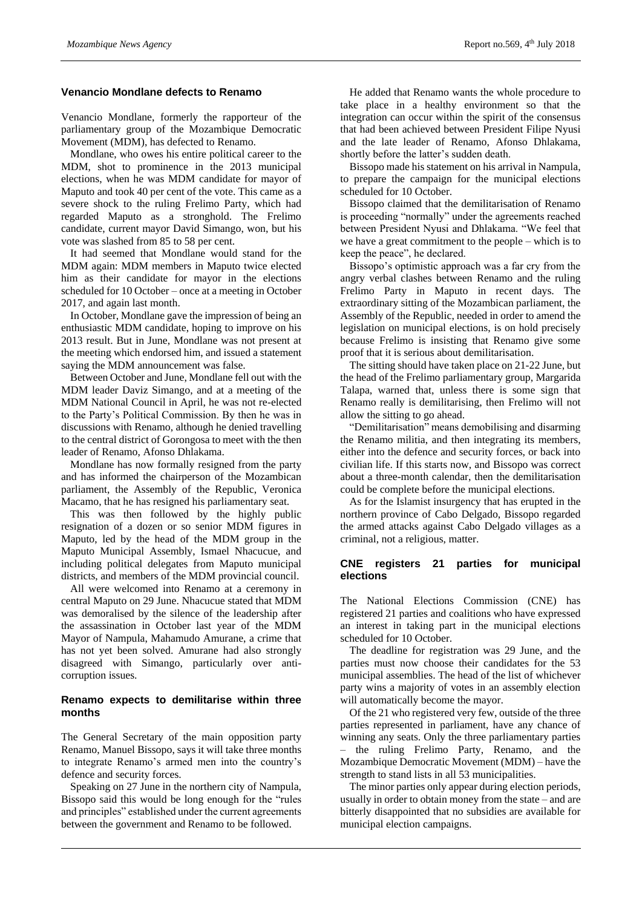#### **Venancio Mondlane defects to Renamo**

Venancio Mondlane, formerly the rapporteur of the parliamentary group of the Mozambique Democratic Movement (MDM), has defected to Renamo.

Mondlane, who owes his entire political career to the MDM, shot to prominence in the 2013 municipal elections, when he was MDM candidate for mayor of Maputo and took 40 per cent of the vote. This came as a severe shock to the ruling Frelimo Party, which had regarded Maputo as a stronghold. The Frelimo candidate, current mayor David Simango, won, but his vote was slashed from 85 to 58 per cent.

It had seemed that Mondlane would stand for the MDM again: MDM members in Maputo twice elected him as their candidate for mayor in the elections scheduled for 10 October – once at a meeting in October 2017, and again last month.

In October, Mondlane gave the impression of being an enthusiastic MDM candidate, hoping to improve on his 2013 result. But in June, Mondlane was not present at the meeting which endorsed him, and issued a statement saying the MDM announcement was false.

Between October and June, Mondlane fell out with the MDM leader Daviz Simango, and at a meeting of the MDM National Council in April, he was not re-elected to the Party's Political Commission. By then he was in discussions with Renamo, although he denied travelling to the central district of Gorongosa to meet with the then leader of Renamo, Afonso Dhlakama.

Mondlane has now formally resigned from the party and has informed the chairperson of the Mozambican parliament, the Assembly of the Republic, Veronica Macamo, that he has resigned his parliamentary seat.

This was then followed by the highly public resignation of a dozen or so senior MDM figures in Maputo, led by the head of the MDM group in the Maputo Municipal Assembly, Ismael Nhacucue, and including political delegates from Maputo municipal districts, and members of the MDM provincial council.

All were welcomed into Renamo at a ceremony in central Maputo on 29 June. Nhacucue stated that MDM was demoralised by the silence of the leadership after the assassination in October last year of the MDM Mayor of Nampula, Mahamudo Amurane, a crime that has not yet been solved. Amurane had also strongly disagreed with Simango, particularly over anticorruption issues.

#### **Renamo expects to demilitarise within three months**

The General Secretary of the main opposition party Renamo, Manuel Bissopo, says it will take three months to integrate Renamo's armed men into the country's defence and security forces.

Speaking on 27 June in the northern city of Nampula, Bissopo said this would be long enough for the "rules and principles" established under the current agreements between the government and Renamo to be followed.

He added that Renamo wants the whole procedure to take place in a healthy environment so that the integration can occur within the spirit of the consensus that had been achieved between President Filipe Nyusi and the late leader of Renamo, Afonso Dhlakama, shortly before the latter's sudden death.

Bissopo made his statement on his arrival in Nampula, to prepare the campaign for the municipal elections scheduled for 10 October.

Bissopo claimed that the demilitarisation of Renamo is proceeding "normally" under the agreements reached between President Nyusi and Dhlakama. "We feel that we have a great commitment to the people – which is to keep the peace", he declared.

Bissopo's optimistic approach was a far cry from the angry verbal clashes between Renamo and the ruling Frelimo Party in Maputo in recent days. The extraordinary sitting of the Mozambican parliament, the Assembly of the Republic, needed in order to amend the legislation on municipal elections, is on hold precisely because Frelimo is insisting that Renamo give some proof that it is serious about demilitarisation.

The sitting should have taken place on 21-22 June, but the head of the Frelimo parliamentary group, Margarida Talapa, warned that, unless there is some sign that Renamo really is demilitarising, then Frelimo will not allow the sitting to go ahead.

"Demilitarisation" means demobilising and disarming the Renamo militia, and then integrating its members, either into the defence and security forces, or back into civilian life. If this starts now, and Bissopo was correct about a three-month calendar, then the demilitarisation could be complete before the municipal elections.

As for the Islamist insurgency that has erupted in the northern province of Cabo Delgado, Bissopo regarded the armed attacks against Cabo Delgado villages as a criminal, not a religious, matter.

# **CNE registers 21 parties for municipal elections**

The National Elections Commission (CNE) has registered 21 parties and coalitions who have expressed an interest in taking part in the municipal elections scheduled for 10 October.

The deadline for registration was 29 June, and the parties must now choose their candidates for the 53 municipal assemblies. The head of the list of whichever party wins a majority of votes in an assembly election will automatically become the mayor.

Of the 21 who registered very few, outside of the three parties represented in parliament, have any chance of winning any seats. Only the three parliamentary parties – the ruling Frelimo Party, Renamo, and the Mozambique Democratic Movement (MDM) – have the strength to stand lists in all 53 municipalities.

The minor parties only appear during election periods, usually in order to obtain money from the state – and are bitterly disappointed that no subsidies are available for municipal election campaigns.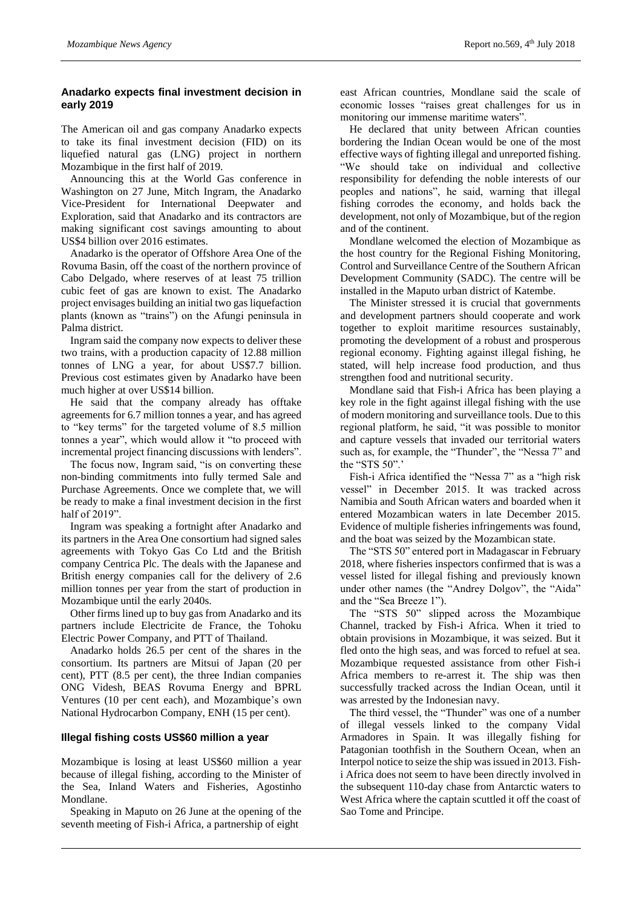# **Anadarko expects final investment decision in early 2019**

The American oil and gas company Anadarko expects to take its final investment decision (FID) on its liquefied natural gas (LNG) project in northern Mozambique in the first half of 2019.

Announcing this at the World Gas conference in Washington on 27 June, Mitch Ingram, the Anadarko Vice-President for International Deepwater and Exploration, said that Anadarko and its contractors are making significant cost savings amounting to about US\$4 billion over 2016 estimates.

Anadarko is the operator of Offshore Area One of the Rovuma Basin, off the coast of the northern province of Cabo Delgado, where reserves of at least 75 trillion cubic feet of gas are known to exist. The Anadarko project envisages building an initial two gas liquefaction plants (known as "trains") on the Afungi peninsula in Palma district.

Ingram said the company now expects to deliver these two trains, with a production capacity of 12.88 million tonnes of LNG a year, for about US\$7.7 billion. Previous cost estimates given by Anadarko have been much higher at over US\$14 billion.

He said that the company already has offtake agreements for 6.7 million tonnes a year, and has agreed to "key terms" for the targeted volume of 8.5 million tonnes a year", which would allow it "to proceed with incremental project financing discussions with lenders".

The focus now, Ingram said, "is on converting these non-binding commitments into fully termed Sale and Purchase Agreements. Once we complete that, we will be ready to make a final investment decision in the first half of 2019".

Ingram was speaking a fortnight after Anadarko and its partners in the Area One consortium had signed sales agreements with Tokyo Gas Co Ltd and the British company Centrica Plc. The deals with the Japanese and British energy companies call for the delivery of 2.6 million tonnes per year from the start of production in Mozambique until the early 2040s.

Other firms lined up to buy gas from Anadarko and its partners include Electricite de France, the Tohoku Electric Power Company, and PTT of Thailand.

Anadarko holds 26.5 per cent of the shares in the consortium. Its partners are Mitsui of Japan (20 per cent), PTT (8.5 per cent), the three Indian companies ONG Videsh, BEAS Rovuma Energy and BPRL Ventures (10 per cent each), and Mozambique's own National Hydrocarbon Company, ENH (15 per cent).

## **Illegal fishing costs US\$60 million a year**

Mozambique is losing at least US\$60 million a year because of illegal fishing, according to the Minister of the Sea, Inland Waters and Fisheries, Agostinho Mondlane.

Speaking in Maputo on 26 June at the opening of the seventh meeting of Fish-i Africa, a partnership of eight

east African countries, Mondlane said the scale of economic losses "raises great challenges for us in monitoring our immense maritime waters".

He declared that unity between African counties bordering the Indian Ocean would be one of the most effective ways of fighting illegal and unreported fishing. "We should take on individual and collective responsibility for defending the noble interests of our peoples and nations", he said, warning that illegal fishing corrodes the economy, and holds back the development, not only of Mozambique, but of the region and of the continent.

Mondlane welcomed the election of Mozambique as the host country for the Regional Fishing Monitoring, Control and Surveillance Centre of the Southern African Development Community (SADC). The centre will be installed in the Maputo urban district of Katembe.

The Minister stressed it is crucial that governments and development partners should cooperate and work together to exploit maritime resources sustainably, promoting the development of a robust and prosperous regional economy. Fighting against illegal fishing, he stated, will help increase food production, and thus strengthen food and nutritional security.

Mondlane said that Fish-i Africa has been playing a key role in the fight against illegal fishing with the use of modern monitoring and surveillance tools. Due to this regional platform, he said, "it was possible to monitor and capture vessels that invaded our territorial waters such as, for example, the "Thunder", the "Nessa 7" and the "STS 50".'

Fish-i Africa identified the "Nessa 7" as a "high risk vessel" in December 2015. It was tracked across Namibia and South African waters and boarded when it entered Mozambican waters in late December 2015. Evidence of multiple fisheries infringements was found, and the boat was seized by the Mozambican state.

The "STS 50" entered port in Madagascar in February 2018, where fisheries inspectors confirmed that is was a vessel listed for illegal fishing and previously known under other names (the "Andrey Dolgov", the "Aida" and the "Sea Breeze 1").

The "STS 50" slipped across the Mozambique Channel, tracked by Fish-i Africa. When it tried to obtain provisions in Mozambique, it was seized. But it fled onto the high seas, and was forced to refuel at sea. Mozambique requested assistance from other Fish-i Africa members to re-arrest it. The ship was then successfully tracked across the Indian Ocean, until it was arrested by the Indonesian navy.

The third vessel, the "Thunder" was one of a number of illegal vessels linked to the company Vidal Armadores in Spain. It was illegally fishing for Patagonian toothfish in the Southern Ocean, when an Interpol notice to seize the ship was issued in 2013. Fishi Africa does not seem to have been directly involved in the subsequent 110-day chase from Antarctic waters to West Africa where the captain scuttled it off the coast of Sao Tome and Principe.